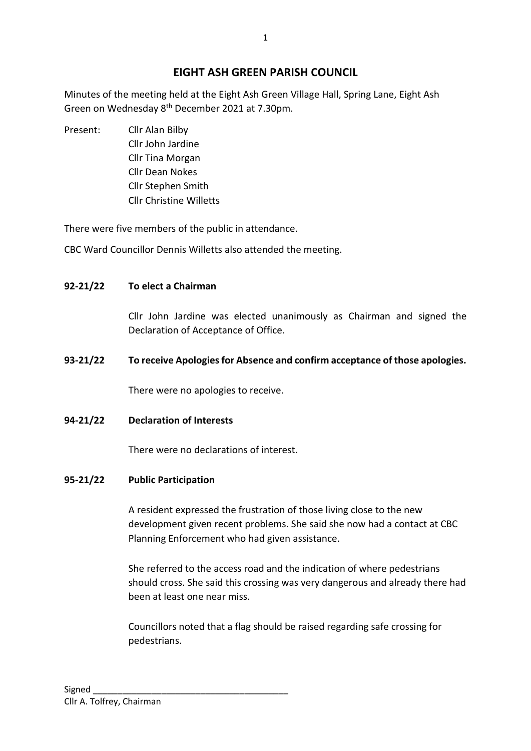# **EIGHT ASH GREEN PARISH COUNCIL**

Minutes of the meeting held at the Eight Ash Green Village Hall, Spring Lane, Eight Ash Green on Wednesday 8<sup>th</sup> December 2021 at 7.30pm.

Present: Cllr Alan Bilby Cllr John Jardine Cllr Tina Morgan Cllr Dean Nokes Cllr Stephen Smith Cllr Christine Willetts

There were five members of the public in attendance.

CBC Ward Councillor Dennis Willetts also attended the meeting.

## **92-21/22 To elect a Chairman**

Cllr John Jardine was elected unanimously as Chairman and signed the Declaration of Acceptance of Office.

## **93-21/22 To receive Apologies for Absence and confirm acceptance of those apologies.**

There were no apologies to receive.

### **94-21/22 Declaration of Interests**

There were no declarations of interest.

### **95-21/22 Public Participation**

A resident expressed the frustration of those living close to the new development given recent problems. She said she now had a contact at CBC Planning Enforcement who had given assistance.

She referred to the access road and the indication of where pedestrians should cross. She said this crossing was very dangerous and already there had been at least one near miss.

Councillors noted that a flag should be raised regarding safe crossing for pedestrians.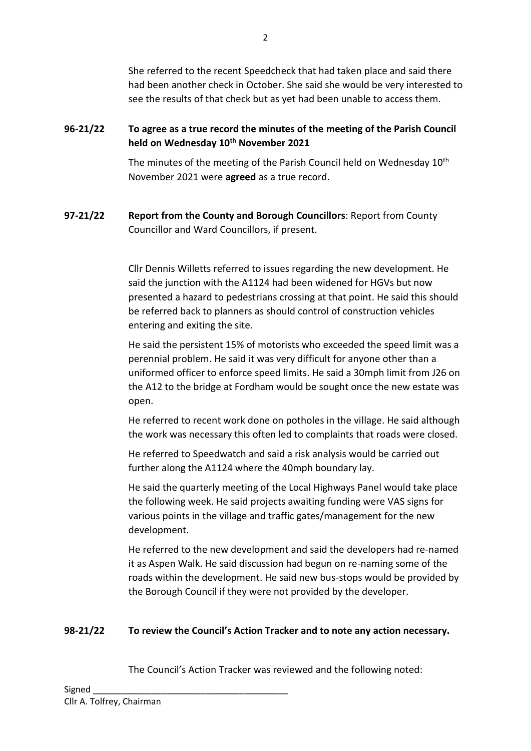She referred to the recent Speedcheck that had taken place and said there had been another check in October. She said she would be very interested to see the results of that check but as yet had been unable to access them.

# **96-21/22 To agree as a true record the minutes of the meeting of the Parish Council held on Wednesday 10th November 2021**

The minutes of the meeting of the Parish Council held on Wednesday 10<sup>th</sup> November 2021 were **agreed** as a true record.

# **97-21/22 Report from the County and Borough Councillors**: Report from County Councillor and Ward Councillors, if present.

Cllr Dennis Willetts referred to issues regarding the new development. He said the junction with the A1124 had been widened for HGVs but now presented a hazard to pedestrians crossing at that point. He said this should be referred back to planners as should control of construction vehicles entering and exiting the site.

He said the persistent 15% of motorists who exceeded the speed limit was a perennial problem. He said it was very difficult for anyone other than a uniformed officer to enforce speed limits. He said a 30mph limit from J26 on the A12 to the bridge at Fordham would be sought once the new estate was open.

He referred to recent work done on potholes in the village. He said although the work was necessary this often led to complaints that roads were closed.

He referred to Speedwatch and said a risk analysis would be carried out further along the A1124 where the 40mph boundary lay.

He said the quarterly meeting of the Local Highways Panel would take place the following week. He said projects awaiting funding were VAS signs for various points in the village and traffic gates/management for the new development.

He referred to the new development and said the developers had re-named it as Aspen Walk. He said discussion had begun on re-naming some of the roads within the development. He said new bus-stops would be provided by the Borough Council if they were not provided by the developer.

## **98-21/22 To review the Council's Action Tracker and to note any action necessary.**

The Council's Action Tracker was reviewed and the following noted: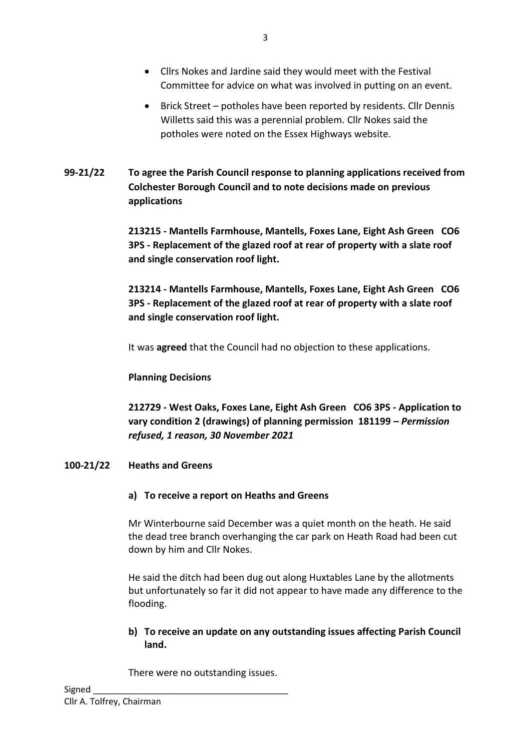- Cllrs Nokes and Jardine said they would meet with the Festival Committee for advice on what was involved in putting on an event.
- Brick Street potholes have been reported by residents. Cllr Dennis Willetts said this was a perennial problem. Cllr Nokes said the potholes were noted on the Essex Highways website.
- **99-21/22 To agree the Parish Council response to planning applications received from Colchester Borough Council and to note decisions made on previous applications**

**213215 - Mantells Farmhouse, Mantells, Foxes Lane, Eight Ash Green CO6 3PS - Replacement of the glazed roof at rear of property with a slate roof and single conservation roof light.**

**213214 - Mantells Farmhouse, Mantells, Foxes Lane, Eight Ash Green CO6 3PS - Replacement of the glazed roof at rear of property with a slate roof and single conservation roof light.**

It was **agreed** that the Council had no objection to these applications.

**Planning Decisions** 

**212729 - West Oaks, Foxes Lane, Eight Ash Green CO6 3PS - Application to vary condition 2 (drawings) of planning permission 181199 –** *Permission refused, 1 reason, 30 November 2021*

## **100-21/22 Heaths and Greens**

### **a) To receive a report on Heaths and Greens**

Mr Winterbourne said December was a quiet month on the heath. He said the dead tree branch overhanging the car park on Heath Road had been cut down by him and Cllr Nokes.

He said the ditch had been dug out along Huxtables Lane by the allotments but unfortunately so far it did not appear to have made any difference to the flooding.

**b) To receive an update on any outstanding issues affecting Parish Council land.**

There were no outstanding issues.